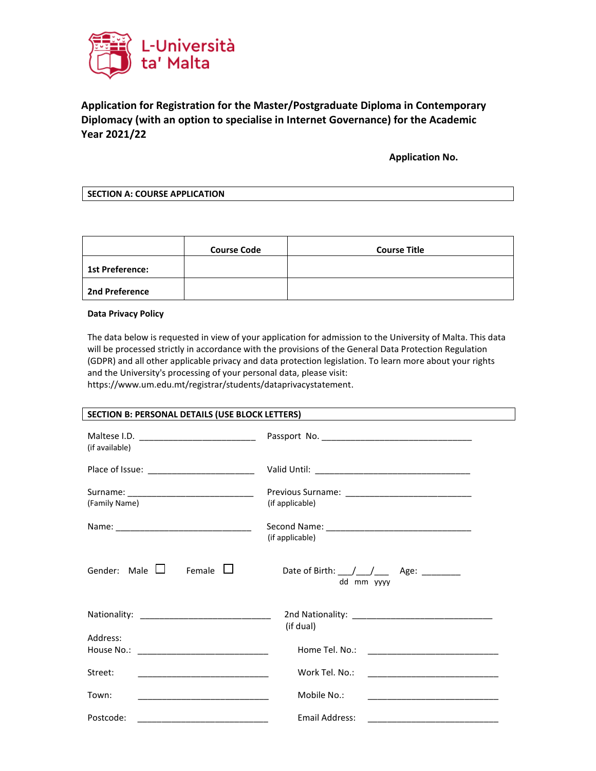

# **Application for Registration for the Master/Postgraduate Diploma in Contemporary Diplomacy (with an option to specialise in Internet Governance) for the Academic Year 2021/22**

 **Application No.**

**SECTION A: COURSE APPLICATION**

|                        | <b>Course Code</b> | <b>Course Title</b> |
|------------------------|--------------------|---------------------|
| <b>1st Preference:</b> |                    |                     |
| <b>2nd Preference</b>  |                    |                     |

#### **Data Privacy Policy**

The data below is requested in view of your application for admission to the University of Malta. This data will be processed strictly in accordance with the provisions of the General Data Protection Regulation (GDPR) and all other applicable privacy and data protection legislation. To learn more about your rights and the University's processing of your personal data, please visit: https://www.um.edu.mt/registrar/students/dataprivacystatement.

| SECTION B: PERSONAL DETAILS (USE BLOCK LETTERS)                |                                                       |  |  |
|----------------------------------------------------------------|-------------------------------------------------------|--|--|
| (if available)                                                 |                                                       |  |  |
| Place of Issue: ________________________                       |                                                       |  |  |
| Surname: ________________________________<br>(Family Name)     | (if applicable)                                       |  |  |
|                                                                | (if applicable)                                       |  |  |
| Gender: Male $\Box$<br>Female $\Box$                           | Date of Birth: $\angle$ / $\angle$ Age:<br>dd mm yyyy |  |  |
|                                                                | (if dual)                                             |  |  |
| Address:                                                       |                                                       |  |  |
| Street:                                                        | Work Tel. No.:                                        |  |  |
| Town:<br><u> 1989 - Johann Barbara, martxa alemani</u> ar arte | Mobile No.:                                           |  |  |
| Postcode:                                                      | Email Address:                                        |  |  |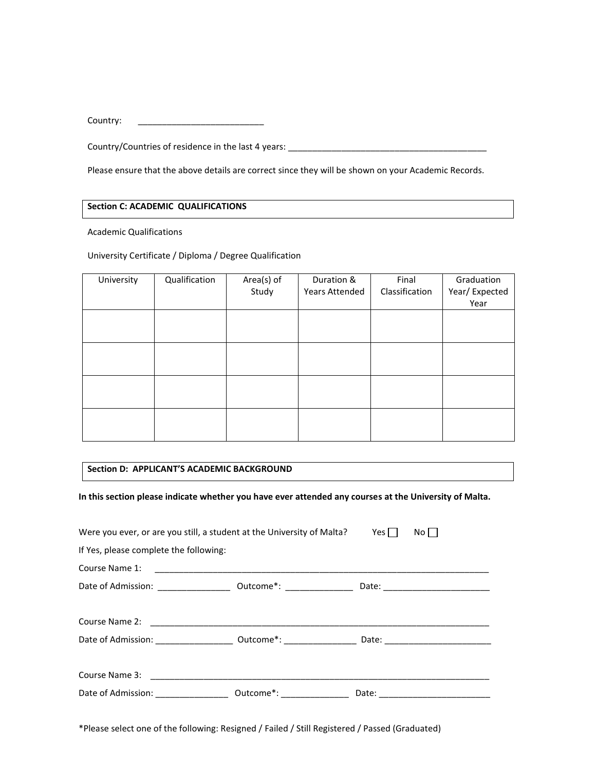Country:

Country/Countries of residence in the last 4 years: \_\_\_\_\_\_\_\_\_\_\_\_\_\_\_\_\_\_\_\_\_\_\_\_\_\_\_\_\_\_\_\_\_\_\_\_\_\_\_\_\_

Please ensure that the above details are correct since they will be shown on your Academic Records.

## **Section C: ACADEMIC QUALIFICATIONS**

Academic Qualifications

University Certificate / Diploma / Degree Qualification

| University | Qualification | Area(s) of<br>Study | Duration &<br><b>Years Attended</b> | Final<br>Classification | Graduation<br>Year/Expected<br>Year |
|------------|---------------|---------------------|-------------------------------------|-------------------------|-------------------------------------|
|            |               |                     |                                     |                         |                                     |
|            |               |                     |                                     |                         |                                     |
|            |               |                     |                                     |                         |                                     |
|            |               |                     |                                     |                         |                                     |

#### **Section D: APPLICANT'S ACADEMIC BACKGROUND**

**In this section please indicate whether you have ever attended any courses at the University of Malta.**

| Were you ever, or are you still, a student at the University of Malta?                                         | Yes $\Box$<br>Noll |
|----------------------------------------------------------------------------------------------------------------|--------------------|
| If Yes, please complete the following:                                                                         |                    |
| Course Name 1:                                                                                                 |                    |
|                                                                                                                |                    |
|                                                                                                                |                    |
|                                                                                                                |                    |
| Date of Admission: ______________________ Outcome*: ______________________Date: ______________________________ |                    |
|                                                                                                                |                    |
|                                                                                                                |                    |
| Date of Admission: _______________________ Outcome*: ___________________________                               |                    |

\*Please select one of the following: Resigned / Failed / Still Registered / Passed (Graduated)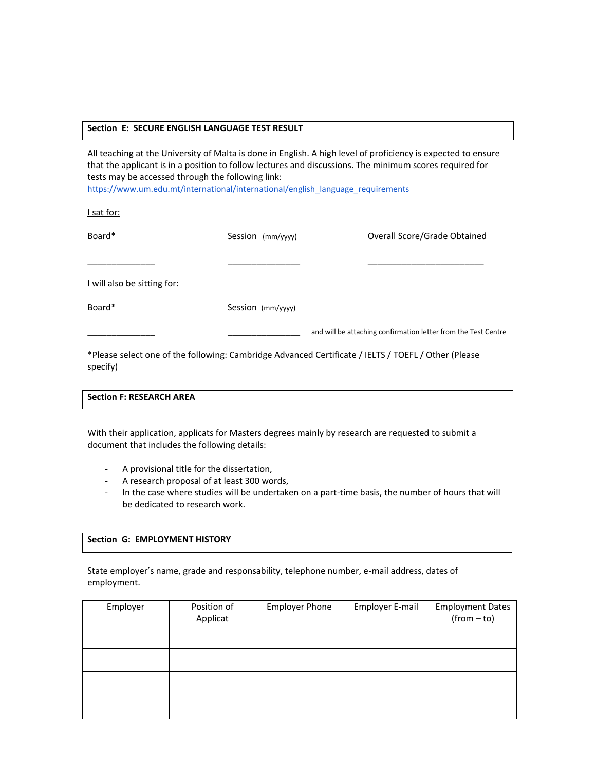## **Section E: SECURE ENGLISH LANGUAGE TEST RESULT**

All teaching at the University of Malta is done in English. A high level of proficiency is expected to ensure that the applicant is in a position to follow lectures and discussions. The minimum scores required for tests may be accessed through the following link:

[https://www.um.edu.mt/international/international/english\\_language\\_requirements](https://www.um.edu.mt/international/international/english_language_requirements)

I sat for:

| Board*                      | Session (mm/yyyy) | Overall Score/Grade Obtained                                                                        |
|-----------------------------|-------------------|-----------------------------------------------------------------------------------------------------|
|                             |                   |                                                                                                     |
| I will also be sitting for: |                   |                                                                                                     |
| Board*                      | Session (mm/yyyy) |                                                                                                     |
|                             |                   | and will be attaching confirmation letter from the Test Centre                                      |
|                             |                   | *Please select one of the following: Cambridge Advanced Certificate / JELTS / TOEFL / Other (Please |

\*Please select one of the following: Cambridge Advanced Certificate / IELTS / TOEFL / Other (Please specify)

# **Section F: RESEARCH AREA**

With their application, applicats for Masters degrees mainly by research are requested to submit a document that includes the following details:

- A provisional title for the dissertation,
- A research proposal of at least 300 words,
- In the case where studies will be undertaken on a part-time basis, the number of hours that will be dedicated to research work.

#### **Section G: EMPLOYMENT HISTORY**

State employer's name, grade and responsability, telephone number, e-mail address, dates of employment.

| Employer | Position of<br>Applicat | <b>Employer Phone</b> | Employer E-mail | <b>Employment Dates</b><br>$(from - to)$ |
|----------|-------------------------|-----------------------|-----------------|------------------------------------------|
|          |                         |                       |                 |                                          |
|          |                         |                       |                 |                                          |
|          |                         |                       |                 |                                          |
|          |                         |                       |                 |                                          |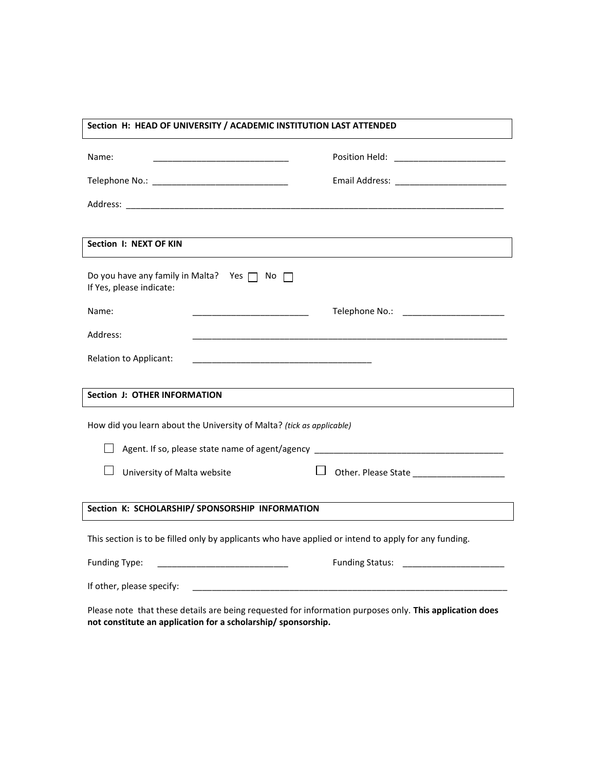| Section H: HEAD OF UNIVERSITY / ACADEMIC INSTITUTION LAST ATTENDED                                                                                                       |                                                                                  |  |  |
|--------------------------------------------------------------------------------------------------------------------------------------------------------------------------|----------------------------------------------------------------------------------|--|--|
| Name:                                                                                                                                                                    |                                                                                  |  |  |
|                                                                                                                                                                          |                                                                                  |  |  |
|                                                                                                                                                                          |                                                                                  |  |  |
|                                                                                                                                                                          |                                                                                  |  |  |
| Section I: NEXT OF KIN                                                                                                                                                   |                                                                                  |  |  |
| Do you have any family in Malta? Yes $\Box$ No $\Box$<br>If Yes, please indicate:                                                                                        |                                                                                  |  |  |
| Name:<br><u> 1989 - Johann Stein, mars an deutscher Stein und der Stein und der Stein und der Stein und der Stein und der</u>                                            |                                                                                  |  |  |
| Address:                                                                                                                                                                 |                                                                                  |  |  |
| Relation to Applicant:<br><u> 1989 - Johann John Harry Harry Harry Harry Harry Harry Harry Harry Harry Harry Harry Harry Harry Harry Harry</u>                           |                                                                                  |  |  |
|                                                                                                                                                                          |                                                                                  |  |  |
| <b>Section J: OTHER INFORMATION</b>                                                                                                                                      |                                                                                  |  |  |
| How did you learn about the University of Malta? (tick as applicable)                                                                                                    |                                                                                  |  |  |
|                                                                                                                                                                          | Agent. If so, please state name of agent/agency ________________________________ |  |  |
| University of Malta website                                                                                                                                              |                                                                                  |  |  |
| Section K: SCHOLARSHIP/ SPONSORSHIP INFORMATION                                                                                                                          |                                                                                  |  |  |
| This section is to be filled only by applicants who have applied or intend to apply for any funding.                                                                     |                                                                                  |  |  |
| <b>Funding Type:</b>                                                                                                                                                     | <b>Funding Status:</b> Funding Status:                                           |  |  |
| If other, please specify:                                                                                                                                                |                                                                                  |  |  |
| Please note that these details are being requested for information purposes only. This application does<br>not constitute an application for a scholarship/ sponsorship. |                                                                                  |  |  |